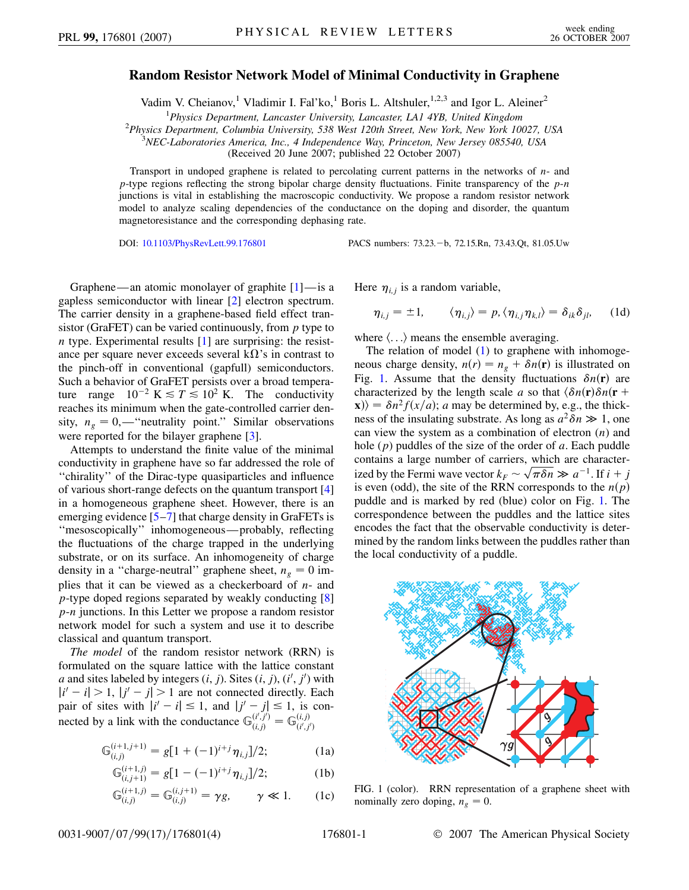## **Random Resistor Network Model of Minimal Conductivity in Graphene**

Vadim V. Cheianov,<sup>1</sup> Vladimir I. Fal'ko,<sup>1</sup> Boris L. Altshuler,<sup>1,2,3</sup> and Igor L. Aleiner<sup>2</sup>

<sup>1</sup> *Physics Department, Lancaster University, Lancaster, LA1 4YB, United Kingdom*<br><sup>2</sup> *Physics Department, Columbia University, 538 West 120th Street, New York, New York 10* 

*Physics Department, Columbia University, 538 West 120th Street, New York, New York 10027, USA* <sup>3</sup>

*NEC-Laboratories America, Inc., 4 Independence Way, Princeton, New Jersey 085540, USA*

(Received 20 June 2007; published 22 October 2007)

Transport in undoped graphene is related to percolating current patterns in the networks of *n*- and *p*-type regions reflecting the strong bipolar charge density fluctuations. Finite transparency of the *p*-*n* junctions is vital in establishing the macroscopic conductivity. We propose a random resistor network model to analyze scaling dependencies of the conductance on the doping and disorder, the quantum magnetoresistance and the corresponding dephasing rate.

DOI: [10.1103/PhysRevLett.99.176801](http://dx.doi.org/10.1103/PhysRevLett.99.176801) PACS numbers: 73.23. - b, 72.15.Rn, 73.43.Qt, 81.05.Uw

Graphene—an atomic monolayer of graphite [\[1](#page-3-0)]—is a gapless semiconductor with linear [[2](#page-3-1)] electron spectrum. The carrier density in a graphene-based field effect transistor (GraFET) can be varied continuously, from *p* type to *n* type. Experimental results [\[1](#page-3-0)] are surprising: the resistance per square never exceeds several  $k\Omega$ 's in contrast to the pinch-off in conventional (gapfull) semiconductors. Such a behavior of GraFET persists over a broad temperature range  $10^{-2}$  K  $\le T \le 10^{2}$  K. The conductivity reaches its minimum when the gate-controlled carrier density,  $n_g = 0$ ,—"neutrality point." Similar observations were reported for the bilayer graphene [\[3\]](#page-3-2).

Attempts to understand the finite value of the minimal conductivity in graphene have so far addressed the role of ''chirality'' of the Dirac-type quasiparticles and influence of various short-range defects on the quantum transport [\[4\]](#page-3-3) in a homogeneous graphene sheet. However, there is an emerging evidence  $[5-7]$  $[5-7]$  $[5-7]$  $[5-7]$  that charge density in GraFETs is ''mesoscopically'' inhomogeneous—probably, reflecting the fluctuations of the charge trapped in the underlying substrate, or on its surface. An inhomogeneity of charge density in a "charge-neutral" graphene sheet,  $n_g = 0$  implies that it can be viewed as a checkerboard of *n*- and *p*-type doped regions separated by weakly conducting [\[8\]](#page-3-6) *p*-*n* junctions. In this Letter we propose a random resistor network model for such a system and use it to describe classical and quantum transport.

*The model* of the random resistor network (RRN) is formulated on the square lattice with the lattice constant *a* and sites labeled by integers  $(i, j)$ . Sites  $(i, j)$ ,  $(i', j')$  with  $|i' - i| > 1$ ,  $|j' - j| > 1$  are not connected directly. Each pair of sites with  $|i'-i| \leq 1$ , and  $|j'-j| \leq 1$ , is connected by a link with the conductance  $\mathbb{G}_{(i,j)}^{(i',j')} = \mathbb{G}_{(i',j')}^{(i,j)}$ 

<span id="page-0-0"></span>
$$
\mathbb{G}_{(i,j)}^{(i+1,j+1)} = g[1 + (-1)^{i+j}\eta_{i,j}]/2; \tag{1a}
$$

$$
\mathbb{G}_{(i,j+1)}^{(i+1,j)} = g[1 - (-1)^{i+j} \eta_{i,j}]/2; \tag{1b}
$$

$$
\mathbb{G}_{(i,j)}^{(i+1,j)} = \mathbb{G}_{(i,j)}^{(i,j+1)} = \gamma g, \qquad \gamma \ll 1. \tag{1c}
$$

Here  $\eta_{i,j}$  is a random variable,

$$
\eta_{i,j} = \pm 1, \qquad \langle \eta_{i,j} \rangle = p, \langle \eta_{i,j} \eta_{k,l} \rangle = \delta_{ik} \delta_{jl}, \qquad (1d)
$$

where  $\langle \ldots \rangle$  means the ensemble averaging.

The relation of model ([1\)](#page-0-0) to graphene with inhomogeneous charge density,  $n(r) = n_g + \delta n(\mathbf{r})$  is illustrated on Fig. [1](#page-0-1). Assume that the density fluctuations  $\delta n(\mathbf{r})$  are characterized by the length scale *a* so that  $\langle \delta n(\mathbf{r}) \delta n(\mathbf{r} + \mathbf{r}) \rangle$  $\langle \mathbf{x} \rangle = \delta n^2 f(x/a); a$  may be determined by, e.g., the thickness of the insulating substrate. As long as  $a^2 \delta n \gg 1$ , one can view the system as a combination of electron (*n*) and hole (*p*) puddles of the size of the order of *a*. Each puddle contains a large number of carriers, which are charactercontains a large number of carriers, which are character-<br>ized by the Fermi wave vector  $k_F \sim \sqrt{\pi \delta n} \gg a^{-1}$ . If  $i + j$ is even (odd), the site of the RRN corresponds to the  $n(p)$ puddle and is marked by red (blue) color on Fig. [1](#page-0-1). The correspondence between the puddles and the lattice sites encodes the fact that the observable conductivity is determined by the random links between the puddles rather than the local conductivity of a puddle.

<span id="page-0-1"></span>

FIG. 1 (color). RRN representation of a graphene sheet with nominally zero doping,  $n_g = 0$ .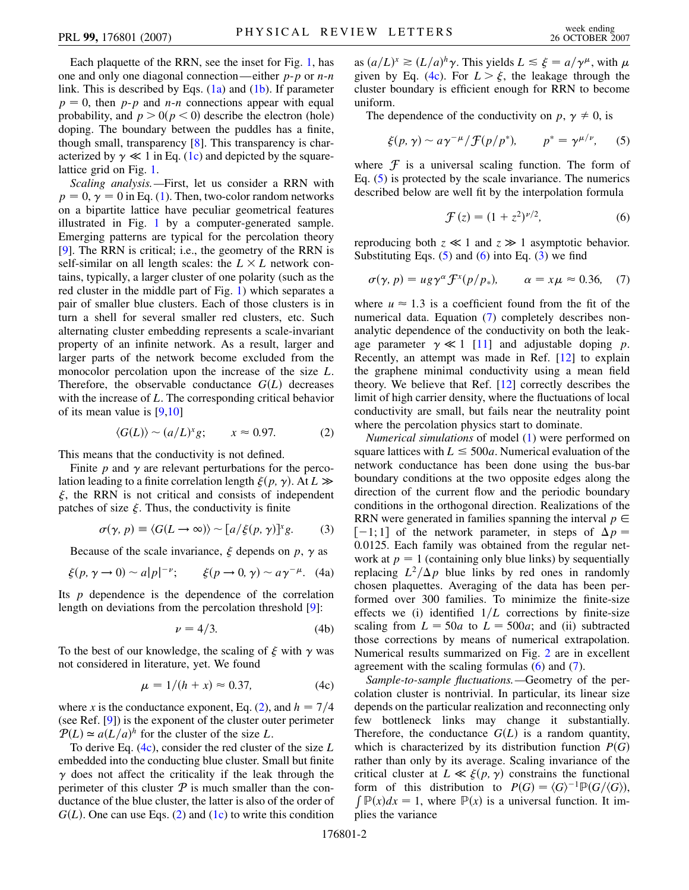Each plaquette of the RRN, see the inset for Fig. [1,](#page-0-1) has one and only one diagonal connection—either *p*-*p* or *n*-*n* link. This is described by Eqs.  $(1a)$  $(1a)$  and  $(1b)$ . If parameter  $p = 0$ , then *p*-*p* and *n*-*n* connections appear with equal probability, and  $p > 0 (p < 0)$  describe the electron (hole) doping. The boundary between the puddles has a finite, though small, transparency [[8\]](#page-3-6). This transparency is characterized by  $\gamma \ll 1$  in Eq. ([1c\)](#page-0-0) and depicted by the squarelattice grid on Fig. [1.](#page-0-1)

*Scaling analysis.—*First, let us consider a RRN with  $p = 0$ ,  $\gamma = 0$  in Eq. ([1](#page-0-0)). Then, two-color random networks on a bipartite lattice have peculiar geometrical features illustrated in Fig. [1](#page-0-1) by a computer-generated sample. Emerging patterns are typical for the percolation theory [\[9\]](#page-3-7). The RRN is critical; i.e., the geometry of the RRN is self-similar on all length scales: the  $L \times L$  network contains, typically, a larger cluster of one polarity (such as the red cluster in the middle part of Fig. [1](#page-0-1)) which separates a pair of smaller blue clusters. Each of those clusters is in turn a shell for several smaller red clusters, etc. Such alternating cluster embedding represents a scale-invariant property of an infinite network. As a result, larger and larger parts of the network become excluded from the monocolor percolation upon the increase of the size *L*. Therefore, the observable conductance  $G(L)$  decreases with the increase of *L*. The corresponding critical behavior of its mean value is [\[9](#page-3-7),[10](#page-3-8)]

$$
\langle G(L) \rangle \sim (a/L)^x g; \qquad x \approx 0.97. \tag{2}
$$

<span id="page-1-0"></span>This means that the conductivity is not defined.

Finite  $p$  and  $\gamma$  are relevant perturbations for the percolation leading to a finite correlation length  $\xi(p, \gamma)$ . At  $L \gg$  $\xi$ , the RRN is not critical and consists of independent patches of size  $\xi$ . Thus, the conductivity is finite

$$
\sigma(\gamma, p) \equiv \langle G(L \to \infty) \rangle \sim [a/\xi(p, \gamma)]^x g. \tag{3}
$$

<span id="page-1-4"></span>Because of the scale invariance,  $\xi$  depends on  $p$ ,  $\gamma$  as

$$
\xi(p, \gamma \to 0) \sim a|p|^{-\nu}; \qquad \xi(p \to 0, \gamma) \sim a\gamma^{-\mu}.
$$
 (4a)

Its *p* dependence is the dependence of the correlation length on deviations from the percolation threshold [[9\]](#page-3-7):

$$
\nu = 4/3. \tag{4b}
$$

<span id="page-1-1"></span>To the best of our knowledge, the scaling of  $\xi$  with  $\gamma$  was not considered in literature, yet. We found

$$
\mu = 1/(h + x) \approx 0.37, \tag{4c}
$$

where *x* is the conductance exponent, Eq. ([2](#page-1-0)), and  $h = \frac{7}{4}$ (see Ref. [\[9](#page-3-7)]) is the exponent of the cluster outer perimeter  $P(L) \approx a(L/a)^h$  for the cluster of the size *L*.

To derive Eq. [\(4c\)](#page-1-1), consider the red cluster of the size *L* embedded into the conducting blue cluster. Small but finite  $\gamma$  does not affect the criticality if the leak through the perimeter of this cluster  $P$  is much smaller than the conductance of the blue cluster, the latter is also of the order of  $G(L)$ . One can use Eqs. ([2\)](#page-1-0) and [\(1c](#page-0-0)) to write this condition

as  $(a/L)^x \ge (L/a)^h \gamma$ . This yields  $L \le \xi = a/\gamma^\mu$ , with  $\mu$ given by Eq. ([4c\)](#page-1-1). For  $L > \xi$ , the leakage through the cluster boundary is efficient enough for RRN to become uniform.

<span id="page-1-2"></span>The dependence of the conductivity on  $p, \gamma \neq 0$ , is

$$
\xi(p,\,\gamma) \sim a\,\gamma^{-\mu}/\mathcal{F}(p/p^*), \qquad p^* = \gamma^{\mu/\nu}, \qquad (5)
$$

<span id="page-1-3"></span>where  $\mathcal F$  is a universal scaling function. The form of Eq. ([5](#page-1-2)) is protected by the scale invariance. The numerics described below are well fit by the interpolation formula

$$
\mathcal{F}(z) = (1 + z^2)^{\nu/2},\tag{6}
$$

<span id="page-1-5"></span>reproducing both  $z \ll 1$  and  $z \gg 1$  asymptotic behavior. Substituting Eqs.  $(5)$  and  $(6)$  $(6)$  $(6)$  into Eq.  $(3)$  $(3)$  we find

$$
\sigma(\gamma, p) = u g \gamma^{\alpha} \mathcal{F}^{x}(p/p_*) , \qquad \alpha = x \mu \approx 0.36, \quad (7)
$$

where  $u \approx 1.3$  is a coefficient found from the fit of the numerical data. Equation ([7\)](#page-1-5) completely describes nonanalytic dependence of the conductivity on both the leakage parameter  $\gamma \ll 1$  [[11](#page-3-9)] and adjustable doping *p*. Recently, an attempt was made in Ref. [[12](#page-3-10)] to explain the graphene minimal conductivity using a mean field theory. We believe that Ref. [[12](#page-3-10)] correctly describes the limit of high carrier density, where the fluctuations of local conductivity are small, but fails near the neutrality point where the percolation physics start to dominate.

*Numerical simulations* of model [\(1](#page-0-0)) were performed on square lattices with  $L \le 500a$ . Numerical evaluation of the network conductance has been done using the bus-bar boundary conditions at the two opposite edges along the direction of the current flow and the periodic boundary conditions in the orthogonal direction. Realizations of the RRN were generated in families spanning the interval  $p \in$  $[-1; 1]$  of the network parameter, in steps of  $\Delta p =$ 0*:*0125. Each family was obtained from the regular network at  $p = 1$  (containing only blue links) by sequentially replacing  $L^2/\Delta p$  blue links by red ones in randomly chosen plaquettes. Averaging of the data has been performed over 300 families. To minimize the finite-size effects we (i) identified  $1/L$  corrections by finite-size scaling from  $L = 50a$  to  $L = 500a$ ; and (ii) subtracted those corrections by means of numerical extrapolation. Numerical results summarized on Fig. [2](#page-2-0) are in excellent agreement with the scaling formulas ([6](#page-1-3)) and [\(7](#page-1-5)).

*Sample-to-sample fluctuations.—*Geometry of the percolation cluster is nontrivial. In particular, its linear size depends on the particular realization and reconnecting only few bottleneck links may change it substantially. Therefore, the conductance  $G(L)$  is a random quantity, which is characterized by its distribution function  $P(G)$ rather than only by its average. Scaling invariance of the critical cluster at  $L \ll \xi(p, \gamma)$  constrains the functional form of this distribution to  $P(G) = \langle G \rangle$ form of this distribution to  $P(G) = \langle G \rangle^{-1} \mathbb{P}(G/\langle G \rangle)$ ,  $\int \mathbb{P}(x) dx = 1$ , where  $\mathbb{P}(x)$  is a universal function. It implies the variance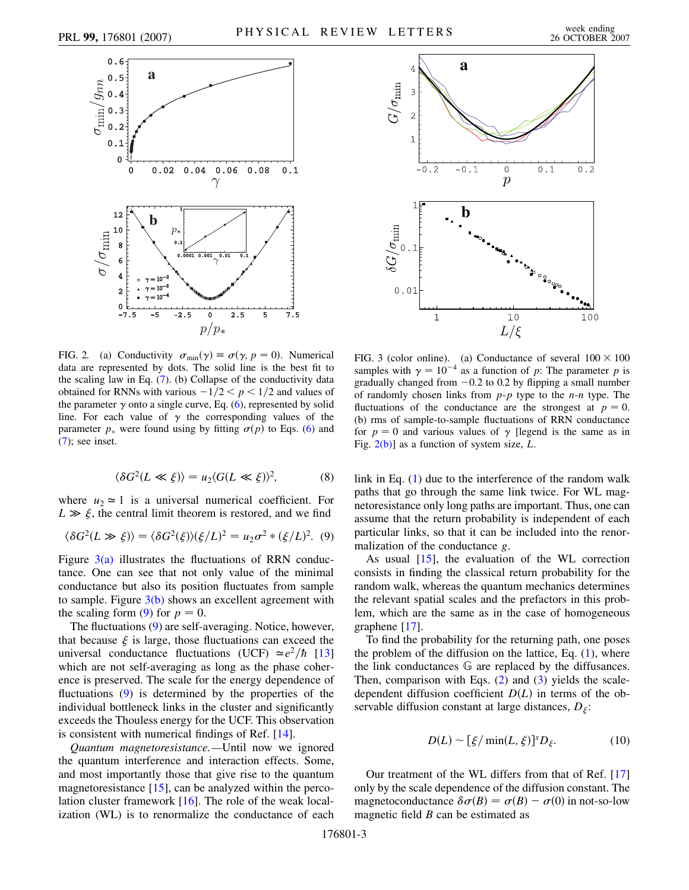<span id="page-2-0"></span>

<span id="page-2-3"></span>FIG. 2. (a) Conductivity  $\sigma_{min}(\gamma) \equiv \sigma(\gamma, p = 0)$ . Numerical data are represented by dots. The solid line is the best fit to the scaling law in Eq. [\(7\)](#page-1-5). (b) Collapse of the conductivity data obtained for RNNs with various  $-1/2 < p < 1/2$  and values of the parameter  $\gamma$  onto a single curve, Eq. ([6](#page-1-3)), represented by solid line. For each value of  $\gamma$  the corresponding values of the parameter  $p_*$  were found using by fitting  $\sigma(p)$  to Eqs. [\(6\)](#page-1-3) and [\(7\)](#page-1-5); see inset.

$$
\langle \delta G^2 (L \ll \xi) \rangle = u_2 \langle G(L \ll \xi) \rangle^2, \tag{8}
$$

where  $u_2 \approx 1$  is a universal numerical coefficient. For  $L \gg \xi$ , the central limit theorem is restored, and we find

<span id="page-2-2"></span>
$$
\langle \delta G^2(L \gg \xi) \rangle = \langle \delta G^2(\xi) \rangle (\xi/L)^2 = u_2 \sigma^2 * (\xi/L)^2.
$$
 (9)

Figure  $3(a)$  illustrates the fluctuations of RRN conductance. One can see that not only value of the minimal conductance but also its position fluctuates from sample to sample. Figure  $3(b)$  shows an excellent agreement with the scaling form [\(9\)](#page-2-2) for  $p = 0$ .

The fluctuations ([9\)](#page-2-2) are self-averaging. Notice, however, that because  $\xi$  is large, those fluctuations can exceed the universal conductance fluctuations (UCF)  $\approx e^2/\hbar$  [\[13\]](#page-3-11) which are not self-averaging as long as the phase coherence is preserved. The scale for the energy dependence of fluctuations ([9\)](#page-2-2) is determined by the properties of the individual bottleneck links in the cluster and significantly exceeds the Thouless energy for the UCF. This observation is consistent with numerical findings of Ref. [\[14\]](#page-3-12).

*Quantum magnetoresistance.—*Until now we ignored the quantum interference and interaction effects. Some, and most importantly those that give rise to the quantum magnetoresistance [[15](#page-3-13)], can be analyzed within the percolation cluster framework [\[16\]](#page-3-14). The role of the weak localization (WL) is to renormalize the conductance of each



<span id="page-2-1"></span>FIG. 3 (color online). (a) Conductance of several  $100 \times 100$ samples with  $\gamma = 10^{-4}$  as a function of *p*: The parameter *p* is gradually changed from  $-0.2$  to 0.2 by flipping a small number of randomly chosen links from *p*-*p* type to the *n*-*n* type. The fluctuations of the conductance are the strongest at  $p = 0$ . (b) rms of sample-to-sample fluctuations of RRN conductance for  $p = 0$  and various values of  $\gamma$  [legend is the same as in Fig. [2\(b\)\]](#page-2-3) as a function of system size, *L*.

link in Eq. [\(1\)](#page-0-0) due to the interference of the random walk paths that go through the same link twice. For WL magnetoresistance only long paths are important. Thus, one can assume that the return probability is independent of each particular links, so that it can be included into the renormalization of the conductance *g*.

As usual [[15](#page-3-13)], the evaluation of the WL correction consists in finding the classical return probability for the random walk, whereas the quantum mechanics determines the relevant spatial scales and the prefactors in this problem, which are the same as in the case of homogeneous graphene [[17](#page-3-15)].

To find the probability for the returning path, one poses the problem of the diffusion on the lattice, Eq.  $(1)$  $(1)$  $(1)$ , where the link conductances G are replaced by the diffusances. Then, comparison with Eqs.  $(2)$  $(2)$  and  $(3)$  $(3)$  $(3)$  yields the scaledependent diffusion coefficient  $D(L)$  in terms of the observable diffusion constant at large distances,  $D_{\xi}$ :

$$
D(L) \sim [\xi/\min(L,\xi)]^x D_{\xi}.
$$
 (10)

<span id="page-2-4"></span>Our treatment of the WL differs from that of Ref. [\[17\]](#page-3-15) only by the scale dependence of the diffusion constant. The magnetoconductance  $\delta \sigma(B) = \sigma(B) - \sigma(0)$  in not-so-low magnetic field *B* can be estimated as